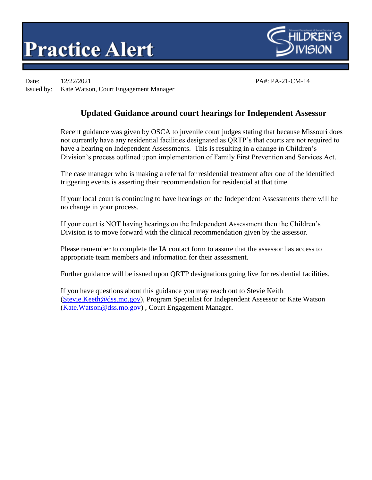## **Practice Alert**



Date: 12/22/2021 PA#: PA-21-CM-14 Issued by: Kate Watson, Court Engagement Manager

## **Updated Guidance around court hearings for Independent Assessor**

Recent guidance was given by OSCA to juvenile court judges stating that because Missouri does not currently have any residential facilities designated as QRTP's that courts are not required to have a hearing on Independent Assessments. This is resulting in a change in Children's Division's process outlined upon implementation of Family First Prevention and Services Act.

The case manager who is making a referral for residential treatment after one of the identified triggering events is asserting their recommendation for residential at that time.

If your local court is continuing to have hearings on the Independent Assessments there will be no change in your process.

If your court is NOT having hearings on the Independent Assessment then the Children's Division is to move forward with the clinical recommendation given by the assessor.

Please remember to complete the IA contact form to assure that the assessor has access to appropriate team members and information for their assessment.

Further guidance will be issued upon QRTP designations going live for residential facilities.

If you have questions about this guidance you may reach out to Stevie Keith [\(Stevie.Keeth@dss.mo.gov\)](mailto:Stevie.Keeth@dss.mo.gov), Program Specialist for Independent Assessor or Kate Watson [\(Kate.Watson@dss.mo.gov\)](mailto:Kate.Watson@dss.mo.gov) , Court Engagement Manager.